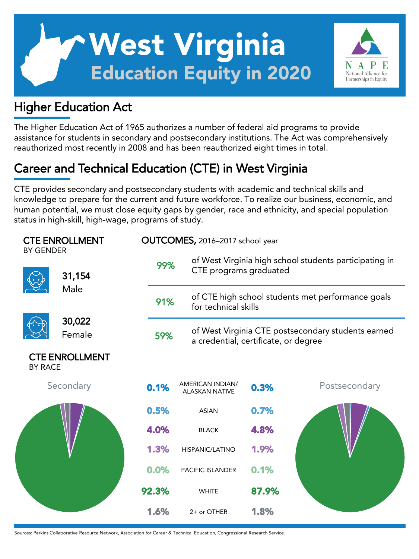# West Virginia Education Equity in 2020

# Higher Education Act

The Higher Education Act of 1965 authorizes a number of federal aid programs to provide assistance for students in secondary and postsecondary institutions. The Act was comprehensively reauthorized most recently in 2008 and has been reauthorized eight times in total.

National Alliance for Partnerships in Equity

# Career and Technical Education (CTE) in West Virginia

CTE provides secondary and postsecondary students with academic and technical skills and knowledge to prepare for the current and future workforce. To realize our business, economic, and human potential, we must close equity gaps by gender, race and ethnicity, and special population status in high-skill, high-wage, programs of study.

| <b>CTE ENROLLMENT</b><br><b>BY GENDER</b> |                  |       | OUTCOMES, 2016-2017 school year                                                                   |                                                                           |       |               |  |  |
|-------------------------------------------|------------------|-------|---------------------------------------------------------------------------------------------------|---------------------------------------------------------------------------|-------|---------------|--|--|
|                                           | 31,154           |       | of West Virginia high school students participating in<br>99%<br>CTE programs graduated           |                                                                           |       |               |  |  |
|                                           | Male             |       | 91%                                                                                               | of CTE high school students met performance goals<br>for technical skills |       |               |  |  |
|                                           | 30,022<br>Female |       | of West Virginia CTE postsecondary students earned<br>59%<br>a credential, certificate, or degree |                                                                           |       |               |  |  |
| <b>CTE ENROLLMENT</b><br><b>BY RACE</b>   |                  |       |                                                                                                   |                                                                           |       |               |  |  |
|                                           | Secondary        |       | 0.1%                                                                                              | <b>AMERICAN INDIAN/</b><br><b>ALASKAN NATIVE</b>                          | 0.3%  | Postsecondary |  |  |
|                                           |                  |       | 0.5%                                                                                              | <b>ASIAN</b>                                                              | 0.7%  |               |  |  |
|                                           |                  |       | 4.0%                                                                                              | <b>BLACK</b>                                                              | 4.8%  |               |  |  |
|                                           |                  |       | 1.3%                                                                                              | HISPANIC/LATINO                                                           | 1.9%  |               |  |  |
|                                           |                  |       | 0.0%                                                                                              | <b>PACIFIC ISLANDER</b>                                                   | 0.1%  |               |  |  |
|                                           |                  | 92.3% |                                                                                                   | <b>WHITE</b>                                                              | 87.9% |               |  |  |
|                                           |                  |       | 1.6%                                                                                              | 2+ or OTHER                                                               | 1.8%  |               |  |  |

Sources: Perkins Collaborative Resource Network, Association for Career & Technical Education, Congressional Research Service.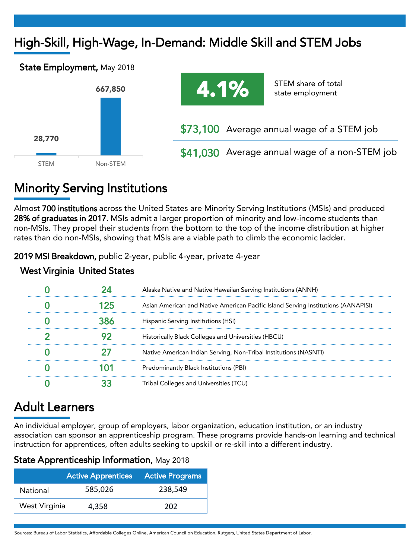# High-Skill, High-Wage, In-Demand: Middle Skill and STEM Jobs





\$41,030 Average annual wage of a non-STEM job

# Minority Serving Institutions

Almost 700 institutions across the United States are Minority Serving Institutions (MSIs) and produced 28% of graduates in 2017. MSIs admit a larger proportion of minority and low-income students than non-MSIs. They propel their students from the bottom to the top of the income distribution at higher rates than do non-MSIs, showing that MSIs are a viable path to climb the economic ladder.

2019 MSI Breakdown, public 2-year, public 4-year, private 4-year

|  | Alaska Native and Native Hawaiian Serving Institutions (ANNH)                     |
|--|-----------------------------------------------------------------------------------|
|  | Asian American and Native American Pacific Island Serving Institutions (AANAPISI) |
|  | Hispanic Serving Institutions (HSI)                                               |
|  | Historically Black Colleges and Universities (HBCU)                               |
|  | Native American Indian Serving, Non-Tribal Institutions (NASNTI)                  |
|  | Predominantly Black Institutions (PBI)                                            |
|  | Tribal Colleges and Universities (TCU)                                            |

### West Virginia United States

# Adult Learners

An individual employer, group of employers, labor organization, education institution, or an industry association can sponsor an apprenticeship program. These programs provide hands-on learning and technical instruction for apprentices, often adults seeking to upskill or re-skill into a different industry.

### State Apprenticeship Information, May 2018

|               | <b>Active Apprentices</b> | <b>Active Programs</b> |  |  |
|---------------|---------------------------|------------------------|--|--|
| National      | 585,026                   | 238.549                |  |  |
| West Virginia | 4.358                     | 202                    |  |  |

Sources: Bureau of Labor Statistics, Affordable Colleges Online, American Council on Education, Rutgers, United States Department of Labor.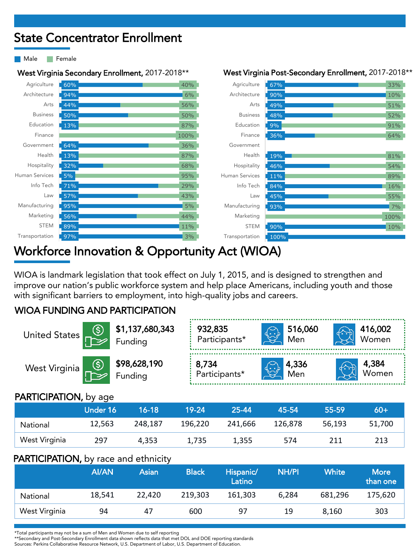## State Concentrator Enrollment

Male **Female** 

West Virginia Secondary Enrollment, 2017-2018\*\* West Virginia Post-Secondary Enrollment, 2017-2018\*\*

| Agriculture     | 60% | 40%  | Agriculture     | 67%  | 33%  |
|-----------------|-----|------|-----------------|------|------|
| Architecture    | 94% | 6%   | Architecture    | 90%  | 10%  |
| Arts            | 44% | 56%  | Arts            | 49%  | 51%  |
| <b>Business</b> | 50% | 50%  | <b>Business</b> | 48%  | 52%  |
| Education       | 13% | 87%  | Education       | 9%   | 91%  |
| Finance         |     | 100% | Finance         | 36%  | 64%  |
| Government      | 64% | 36%  | Government      |      |      |
| Health          | 13% | 87%  | Health          | 19%  | 81%  |
| Hospitality     | 32% | 68%  | Hospitality     | 46%  | 54%  |
| Human Services  | 5%  | 95%  | Human Services  | 11%  | 89%  |
| Info Tech       | 71% | 29%  | Info Tech       | 84%  | 16%  |
| Law             | 57% | 43%  | Law             | 45%  | 55%  |
| Manufacturing   | 95% | 5%   | Manufacturing   | 93%  | 7%   |
| Marketing       | 56% | 44%  | Marketing       |      | 100% |
| <b>STEM</b>     | 89% | 11%  | <b>STEM</b>     | 90%  | 10%  |
| Transportation  | 97% | 3%   | Transportation  | 100% |      |
|                 |     |      |                 |      |      |

### Workforce Innovation & Opportunity Act (WIOA)

WIOA is landmark legislation that took effect on July 1, 2015, and is designed to strengthen and improve our nation's public workforce system and help place Americans, including youth and those with significant barriers to employment, into high-quality jobs and careers.

### WIOA FUNDING AND PARTICIPATION

|                                                                                                                                |                 | United States $\begin{array}{ c c }\n\hline\n\textcircled{5} & \text{$1,137,680,343}\n\hline\n\text{Funding}\n\end{array}$ | 932,835<br>Participants*      | 516,060<br>Men<br>$\bigoplus$ | 416,002<br>Women |  |  |  |
|--------------------------------------------------------------------------------------------------------------------------------|-----------------|----------------------------------------------------------------------------------------------------------------------------|-------------------------------|-------------------------------|------------------|--|--|--|
| West Virginia $\begin{array}{ c c } \hline \circ & \text{\$98,628,190}$ \\ \hline \text{Funding} & \text{Funding} \end{array}$ |                 |                                                                                                                            | <b>8,734</b><br>Participants* | 4,336                         | 4,384<br>Women   |  |  |  |
| <b>PARTICIPATION, by age</b>                                                                                                   |                 |                                                                                                                            |                               |                               |                  |  |  |  |
|                                                                                                                                | <b>Under 16</b> | $16 - 18$                                                                                                                  | 19-24<br>25-44                | 45-54                         | $60+$<br>55-59   |  |  |  |

|               | viiuel lo | 10-10-  |         | - 23-44 | -43-34  | - 33-37 | <b>OUT</b> |
|---------------|-----------|---------|---------|---------|---------|---------|------------|
| National      | 12.563    | 248.187 | 196,220 | 241,666 | 126.878 | 56.193  | 51,700     |
| West Virginia | 297       | 4.353   | 1.735   | 1.355   | 574     |         | 213        |

### PARTICIPATION, by race and ethnicity

|               | <b>AI/AN</b> | Asian  | <b>Black</b> | Hispanic/<br>Latino | <b>NH/PI</b> | White <sup>1</sup> | <b>More</b><br>than one |
|---------------|--------------|--------|--------------|---------------------|--------------|--------------------|-------------------------|
| National      | 18,541       | 22.420 | 219.303      | 161.303             | 6.284        | 681.296            | 175,620                 |
| West Virginia | 94           | 47     | 600          | 97                  | 19           | 8.160              | 303                     |

\*Total participants may not be a sum of Men and Women due to self reporting

\*\*Secondary and Post-Secondary Enrollment data shown reflects data that met DOL and DOE reporting standards

Sources: Perkins Collaborative Resource Network, U.S. Department of Labor, U.S. Department of Education.